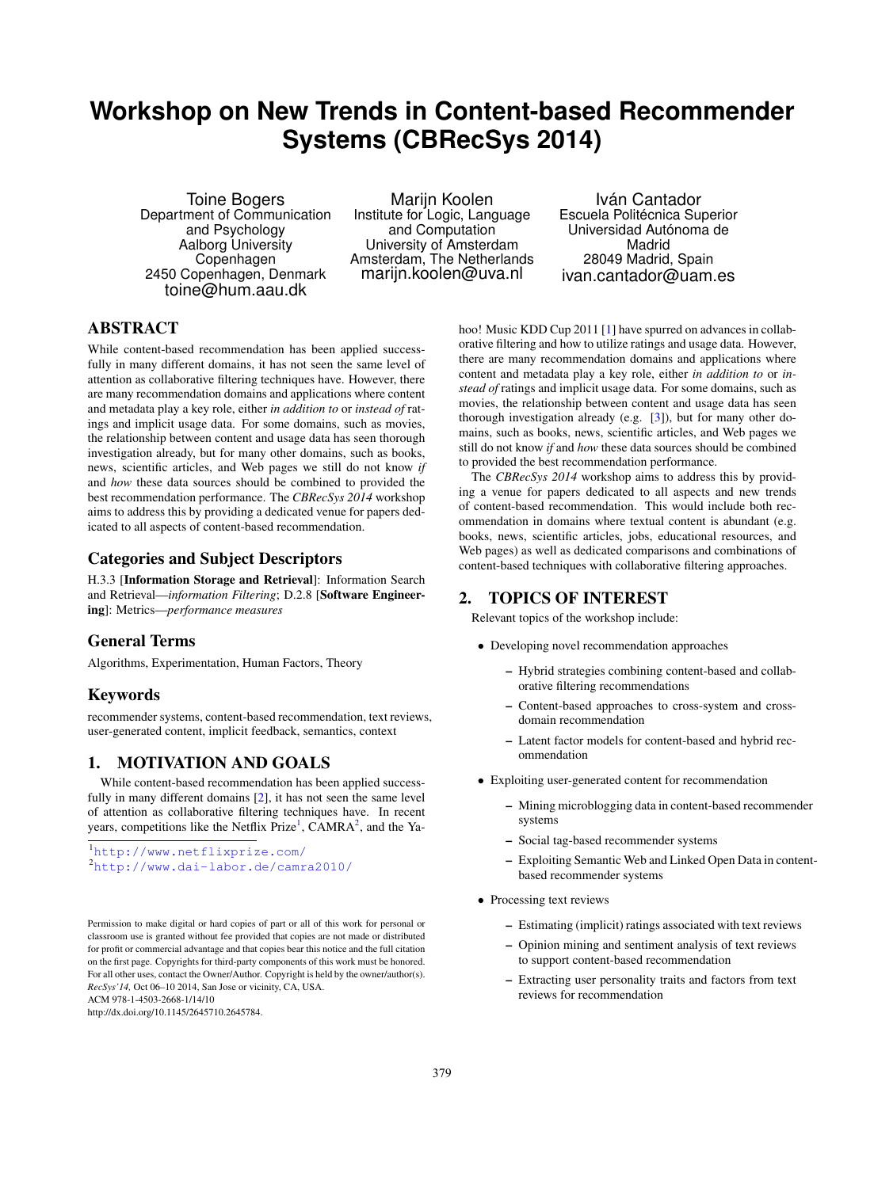# **Workshop on New Trends in Content-based Recommender Systems (CBRecSys 2014)**

Toine Bogers Department of Communication and Psychology Aalborg University Copenhagen 2450 Copenhagen, Denmark toine@hum.aau.dk

Marijn Koolen Institute for Logic, Language and Computation University of Amsterdam Amsterdam, The Netherlands marijn.koolen@uva.nl

Iván Cantador Escuela Politécnica Superior Universidad Autónoma de Madrid 28049 Madrid, Spain ivan.cantador@uam.es

## ABSTRACT

While content-based recommendation has been applied successfully in many different domains, it has not seen the same level of attention as collaborative filtering techniques have. However, there are many recommendation domains and applications where content and metadata play a key role, either *in addition to* or *instead of* ratings and implicit usage data. For some domains, such as movies, the relationship between content and usage data has seen thorough investigation already, but for many other domains, such as books, news, scientific articles, and Web pages we still do not know *if* and *how* these data sources should be combined to provided the best recommendation performance. The *CBRecSys 2014* workshop aims to address this by providing a dedicated venue for papers dedicated to all aspects of content-based recommendation.

### Categories and Subject Descriptors

H.3.3 [Information Storage and Retrieval]: Information Search and Retrieval—*information Filtering*; D.2.8 [Software Engineering]: Metrics—*performance measures*

## General Terms

Algorithms, Experimentation, Human Factors, Theory

## Keywords

recommender systems, content-based recommendation, text reviews, user-generated content, implicit feedback, semantics, context

#### 1. MOTIVATION AND GOALS

While content-based recommendation has been applied successfully in many different domains [\[2\]](#page-1-0), it has not seen the same level of attention as collaborative filtering techniques have. In recent years, competitions like the Netflix Prize<sup>[1](#page-0-0)</sup>, CAMRA<sup>[2](#page-0-1)</sup>, and the Ya-

<span id="page-0-1"></span><span id="page-0-0"></span><sup>1</sup><http://www.netflixprize.com/> <sup>2</sup><http://www.dai-labor.de/camra2010/>

Permission to make digital or hard copies of part or all of this work for personal or classroom use is granted without fee provided that copies are not made or distributed for profit or commercial advantage and that copies bear this notice and the full citation on the first page. Copyrights for third-party components of this work must be honored. For all other uses, contact the Owner/Author. Copyright is held by the owner/author(s). *RecSys'14,* Oct 06–10 2014, San Jose or vicinity, CA, USA.

ACM 978-1-4503-2668-1/14/10

http://dx.doi.org/10.1145/2645710.2645784.

hoo! Music KDD Cup 2011 [\[1\]](#page-1-1) have spurred on advances in collaborative filtering and how to utilize ratings and usage data. However, there are many recommendation domains and applications where content and metadata play a key role, either *in addition to* or *instead of* ratings and implicit usage data. For some domains, such as movies, the relationship between content and usage data has seen thorough investigation already (e.g. [\[3\]](#page-1-2)), but for many other domains, such as books, news, scientific articles, and Web pages we still do not know *if* and *how* these data sources should be combined to provided the best recommendation performance.

The *CBRecSys 2014* workshop aims to address this by providing a venue for papers dedicated to all aspects and new trends of content-based recommendation. This would include both recommendation in domains where textual content is abundant (e.g. books, news, scientific articles, jobs, educational resources, and Web pages) as well as dedicated comparisons and combinations of content-based techniques with collaborative filtering approaches.

#### 2. TOPICS OF INTEREST

Relevant topics of the workshop include:

- Developing novel recommendation approaches
	- Hybrid strategies combining content-based and collaborative filtering recommendations
	- Content-based approaches to cross-system and crossdomain recommendation
	- Latent factor models for content-based and hybrid recommendation
- Exploiting user-generated content for recommendation
	- Mining microblogging data in content-based recommender systems
	- Social tag-based recommender systems
	- Exploiting Semantic Web and Linked Open Data in contentbased recommender systems
- Processing text reviews
	- Estimating (implicit) ratings associated with text reviews
	- Opinion mining and sentiment analysis of text reviews to support content-based recommendation
	- Extracting user personality traits and factors from text reviews for recommendation